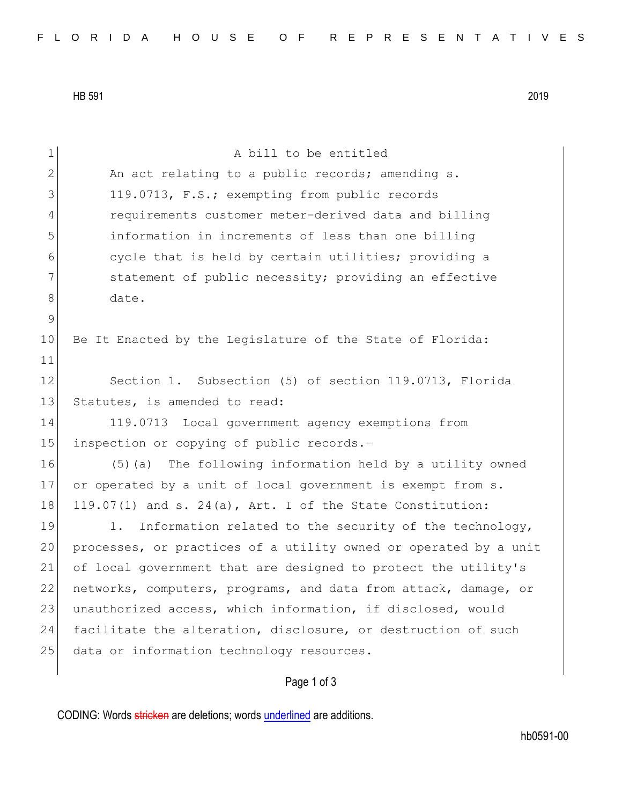HB 591 2019

| $\mathbf 1$  | A bill to be entitled                                            |
|--------------|------------------------------------------------------------------|
| $\mathbf{2}$ | An act relating to a public records; amending s.                 |
| 3            | 119.0713, F.S.; exempting from public records                    |
| 4            | requirements customer meter-derived data and billing             |
| 5            | information in increments of less than one billing               |
| 6            | cycle that is held by certain utilities; providing a             |
| 7            | statement of public necessity; providing an effective            |
| 8            | date.                                                            |
| $\mathsf 9$  |                                                                  |
| 10           | Be It Enacted by the Legislature of the State of Florida:        |
| 11           |                                                                  |
| 12           | Section 1. Subsection (5) of section 119.0713, Florida           |
| 13           | Statutes, is amended to read:                                    |
| 14           | 119.0713 Local government agency exemptions from                 |
| 15           | inspection or copying of public records.-                        |
| 16           | (5) (a) The following information held by a utility owned        |
| 17           | or operated by a unit of local government is exempt from s.      |
| 18           | 119.07(1) and s. 24(a), Art. I of the State Constitution:        |
| 19           | Information related to the security of the technology,<br>1.     |
| 20           | processes, or practices of a utility owned or operated by a unit |
| 21           | of local government that are designed to protect the utility's   |
| 22           | networks, computers, programs, and data from attack, damage, or  |
| 23           | unauthorized access, which information, if disclosed, would      |
| 24           | facilitate the alteration, disclosure, or destruction of such    |
| 25           | data or information technology resources.                        |
|              | Page 1 of 3                                                      |

CODING: Words stricken are deletions; words underlined are additions.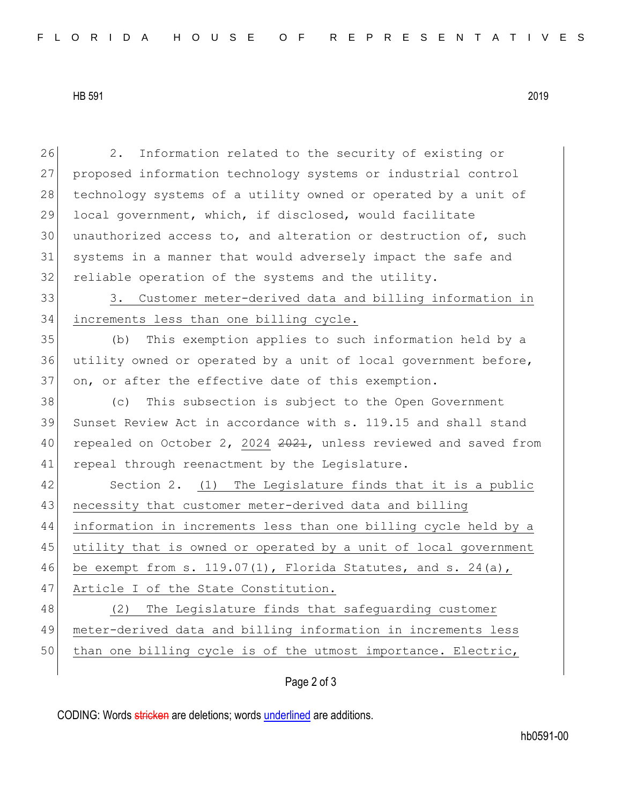HB 591 2019

26 2. Information related to the security of existing or 27 proposed information technology systems or industrial control 28 technology systems of a utility owned or operated by a unit of 29 local government, which, if disclosed, would facilitate  $30$  unauthorized access to, and alteration or destruction of, such 31 systems in a manner that would adversely impact the safe and 32 reliable operation of the systems and the utility. 33 3. Customer meter-derived data and billing information in 34 increments less than one billing cycle. 35 (b) This exemption applies to such information held by a 36 utility owned or operated by a unit of local government before, 37 on, or after the effective date of this exemption. 38 (c) This subsection is subject to the Open Government 39 Sunset Review Act in accordance with s. 119.15 and shall stand 40 repealed on October 2, 2024 2021, unless reviewed and saved from 41 repeal through reenactment by the Legislature. 42 Section 2. (1) The Legislature finds that it is a public 43 necessity that customer meter-derived data and billing 44 information in increments less than one billing cycle held by a 45 utility that is owned or operated by a unit of local government 46 be exempt from s. 119.07(1), Florida Statutes, and s. 24(a), 47 Article I of the State Constitution. 48 (2) The Legislature finds that safeguarding customer 49 meter-derived data and billing information in increments less 50 than one billing cycle is of the utmost importance. Electric,

Page 2 of 3

CODING: Words stricken are deletions; words underlined are additions.